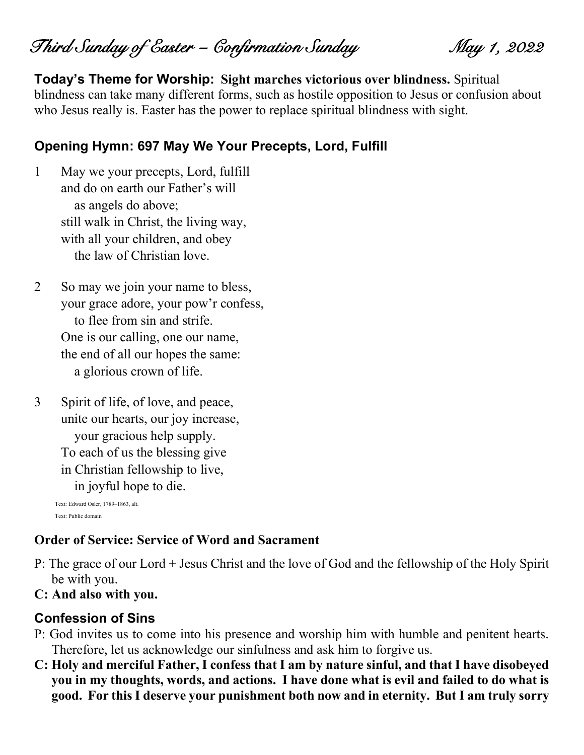Third Sunday of Easter – Confirmation Sunday May 1, 2022

**Today's Theme for Worship: Sight marches victorious over blindness.** Spiritual blindness can take many different forms, such as hostile opposition to Jesus or confusion about who Jesus really is. Easter has the power to replace spiritual blindness with sight.

#### **Opening Hymn: 697 May We Your Precepts, Lord, Fulfill**

- 1 May we your precepts, Lord, fulfill and do on earth our Father's will as angels do above; still walk in Christ, the living way, with all your children, and obey the law of Christian love.
- 2 So may we join your name to bless, your grace adore, your pow'r confess, to flee from sin and strife. One is our calling, one our name, the end of all our hopes the same: a glorious crown of life.
- 3 Spirit of life, of love, and peace, unite our hearts, our joy increase, your gracious help supply. To each of us the blessing give in Christian fellowship to live, in joyful hope to die.

Text: Edward Osler, 1789–1863, alt. Text: Public domain

#### **Order of Service: Service of Word and Sacrament**

- P: The grace of our Lord + Jesus Christ and the love of God and the fellowship of the Holy Spirit be with you.
- **C: And also with you.**

#### **Confession of Sins**

- P: God invites us to come into his presence and worship him with humble and penitent hearts. Therefore, let us acknowledge our sinfulness and ask him to forgive us.
- **C: Holy and merciful Father, I confess that I am by nature sinful, and that I have disobeyed you in my thoughts, words, and actions. I have done what is evil and failed to do what is good. For this I deserve your punishment both now and in eternity. But I am truly sorry**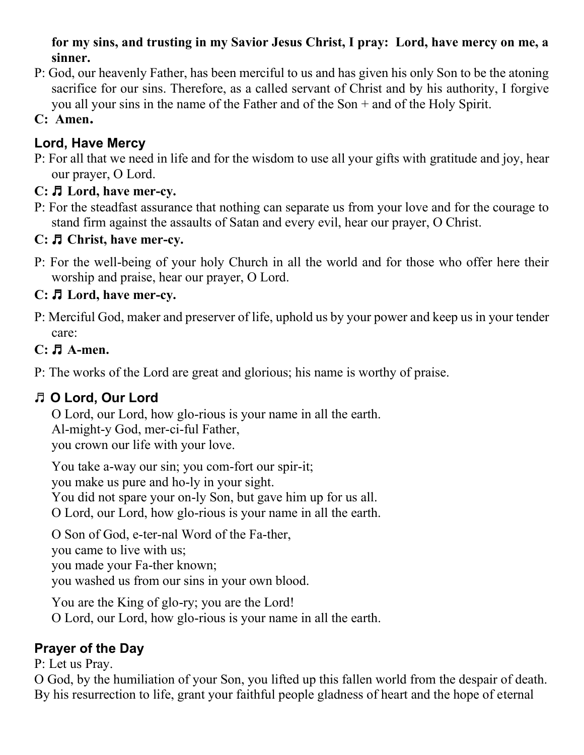#### **for my sins, and trusting in my Savior Jesus Christ, I pray: Lord, have mercy on me, a sinner.**

- P: God, our heavenly Father, has been merciful to us and has given his only Son to be the atoning sacrifice for our sins. Therefore, as a called servant of Christ and by his authority, I forgive you all your sins in the name of the Father and of the Son + and of the Holy Spirit.
- **C: Amen.**

# **Lord, Have Mercy**

P: For all that we need in life and for the wisdom to use all your gifts with gratitude and joy, hear our prayer, O Lord.

# **C:** ♬ **Lord, have mer-cy.**

P: For the steadfast assurance that nothing can separate us from your love and for the courage to stand firm against the assaults of Satan and every evil, hear our prayer, O Christ.

## **C:** ♬ **Christ, have mer-cy.**

P: For the well-being of your holy Church in all the world and for those who offer here their worship and praise, hear our prayer, O Lord.

# **C:** ♬ **Lord, have mer-cy.**

P: Merciful God, maker and preserver of life, uphold us by your power and keep us in your tender care:

## **C:** ♬ **A-men.**

P: The works of the Lord are great and glorious; his name is worthy of praise.

# ♬ **O Lord, Our Lord**

O Lord, our Lord, how glo-rious is your name in all the earth. Al-might-y God, mer-ci-ful Father, you crown our life with your love.

You take a-way our sin; you com-fort our spir-it; you make us pure and ho-ly in your sight. You did not spare your on-ly Son, but gave him up for us all. O Lord, our Lord, how glo-rious is your name in all the earth.

O Son of God, e-ter-nal Word of the Fa-ther, you came to live with us; you made your Fa-ther known;

you washed us from our sins in your own blood.

You are the King of glo-ry; you are the Lord! O Lord, our Lord, how glo-rious is your name in all the earth.

# **Prayer of the Day**

P: Let us Pray.

O God, by the humiliation of your Son, you lifted up this fallen world from the despair of death. By his resurrection to life, grant your faithful people gladness of heart and the hope of eternal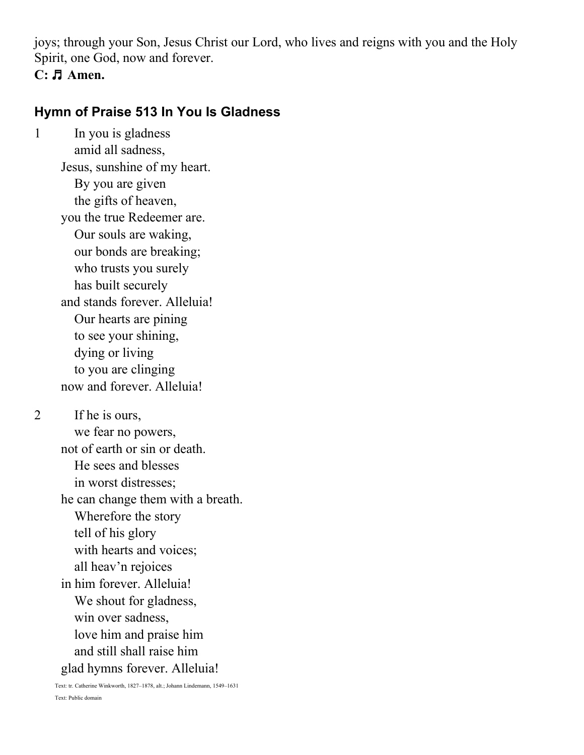joys; through your Son, Jesus Christ our Lord, who lives and reigns with you and the Holy Spirit, one God, now and forever.

#### **C:** ♬ **Amen.**

## **Hymn of Praise 513 In You Is Gladness**

1 In you is gladness amid all sadness, Jesus, sunshine of my heart. By you are given the gifts of heaven, you the true Redeemer are. Our souls are waking, our bonds are breaking; who trusts you surely has built securely and stands forever. Alleluia! Our hearts are pining to see your shining, dying or living to you are clinging now and forever. Alleluia!

2 If he is ours, we fear no powers, not of earth or sin or death. He sees and blesses in worst distresses; he can change them with a breath. Wherefore the story tell of his glory with hearts and voices; all heav'n rejoices in him forever. Alleluia! We shout for gladness, win over sadness, love him and praise him and still shall raise him glad hymns forever. Alleluia!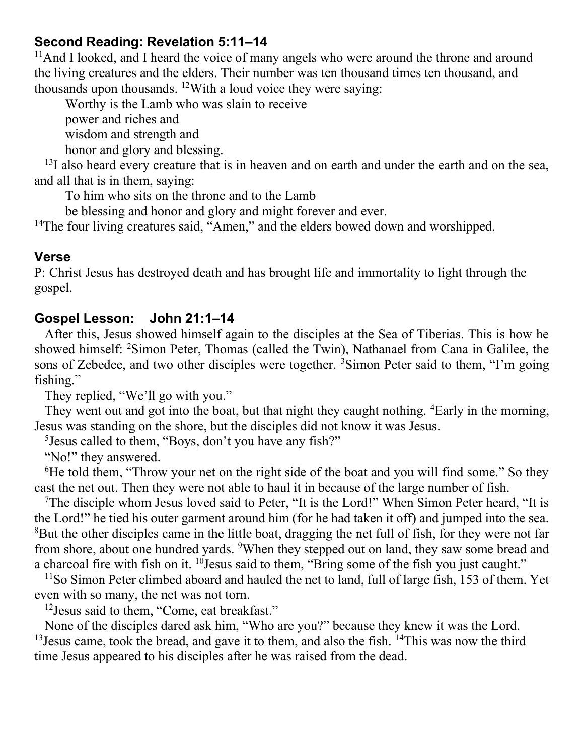#### **Second Reading: Revelation 5:11–14**

<sup>11</sup>And I looked, and I heard the voice of many angels who were around the throne and around the living creatures and the elders. Their number was ten thousand times ten thousand, and thousands upon thousands. <sup>12</sup>With a loud voice they were saying:

Worthy is the Lamb who was slain to receive

power and riches and

wisdom and strength and

honor and glory and blessing.

 $13I$  also heard every creature that is in heaven and on earth and under the earth and on the sea, and all that is in them, saying:

To him who sits on the throne and to the Lamb

be blessing and honor and glory and might forever and ever.

<sup>14</sup>The four living creatures said, "Amen," and the elders bowed down and worshipped.

#### **Verse**

P: Christ Jesus has destroyed death and has brought life and immortality to light through the gospel.

## **Gospel Lesson: John 21:1–14**

After this, Jesus showed himself again to the disciples at the Sea of Tiberias. This is how he showed himself: <sup>2</sup>Simon Peter, Thomas (called the Twin), Nathanael from Cana in Galilee, the sons of Zebedee, and two other disciples were together. <sup>3</sup>Simon Peter said to them, "I'm going fishing."

They replied, "We'll go with you."

They went out and got into the boat, but that night they caught nothing. <sup>4</sup>Early in the morning, Jesus was standing on the shore, but the disciples did not know it was Jesus.

<sup>5</sup> Jesus called to them, "Boys, don't you have any fish?"

"No!" they answered.

<sup>6</sup>He told them, "Throw your net on the right side of the boat and you will find some." So they cast the net out. Then they were not able to haul it in because of the large number of fish.

<sup>7</sup>The disciple whom Jesus loved said to Peter, "It is the Lord!" When Simon Peter heard, "It is the Lord!" he tied his outer garment around him (for he had taken it off) and jumped into the sea. <sup>8</sup>But the other disciples came in the little boat, dragging the net full of fish, for they were not far from shore, about one hundred yards. <sup>9</sup>When they stepped out on land, they saw some bread and a charcoal fire with fish on it.  $^{10}$  Jesus said to them, "Bring some of the fish you just caught."

<sup>11</sup>So Simon Peter climbed aboard and hauled the net to land, full of large fish, 153 of them. Yet even with so many, the net was not torn.

<sup>12</sup> Jesus said to them, "Come, eat breakfast."

None of the disciples dared ask him, "Who are you?" because they knew it was the Lord. <sup>13</sup> Jesus came, took the bread, and gave it to them, and also the fish. <sup>14</sup>This was now the third time Jesus appeared to his disciples after he was raised from the dead.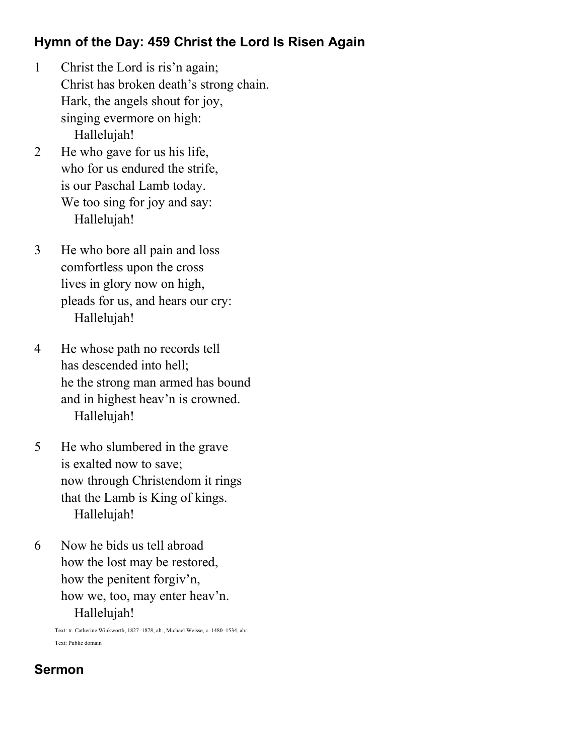# **Hymn of the Day: 459 Christ the Lord Is Risen Again**

- 1 Christ the Lord is ris'n again; Christ has broken death's strong chain. Hark, the angels shout for joy, singing evermore on high: Hallelujah!
- 2 He who gave for us his life, who for us endured the strife. is our Paschal Lamb today. We too sing for joy and say: Hallelujah!
- 3 He who bore all pain and loss comfortless upon the cross lives in glory now on high, pleads for us, and hears our cry: Hallelujah!
- 4 He whose path no records tell has descended into hell; he the strong man armed has bound and in highest heav'n is crowned. Hallelujah!
- 5 He who slumbered in the grave is exalted now to save; now through Christendom it rings that the Lamb is King of kings. Hallelujah!
- 6 Now he bids us tell abroad how the lost may be restored, how the penitent forgiv'n, how we, too, may enter heav'n. Hallelujah!

Text: tr. Catherine Winkworth, 1827–1878, alt.; Michael Weisse, c. 1480–1534, abr. Text: Public domain

# **Sermon**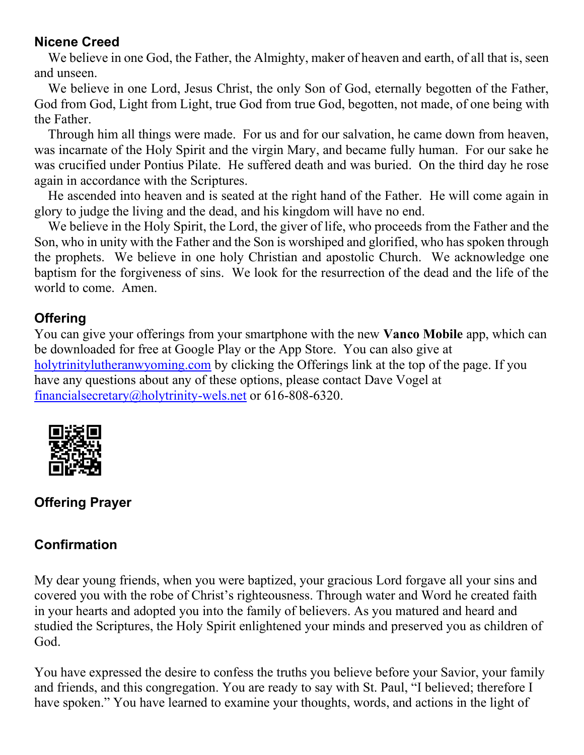#### **Nicene Creed**

We believe in one God, the Father, the Almighty, maker of heaven and earth, of all that is, seen and unseen.

We believe in one Lord, Jesus Christ, the only Son of God, eternally begotten of the Father, God from God, Light from Light, true God from true God, begotten, not made, of one being with the Father.

Through him all things were made. For us and for our salvation, he came down from heaven, was incarnate of the Holy Spirit and the virgin Mary, and became fully human. For our sake he was crucified under Pontius Pilate. He suffered death and was buried. On the third day he rose again in accordance with the Scriptures.

He ascended into heaven and is seated at the right hand of the Father. He will come again in glory to judge the living and the dead, and his kingdom will have no end.

We believe in the Holy Spirit, the Lord, the giver of life, who proceeds from the Father and the Son, who in unity with the Father and the Son is worshiped and glorified, who has spoken through the prophets. We believe in one holy Christian and apostolic Church. We acknowledge one baptism for the forgiveness of sins. We look for the resurrection of the dead and the life of the world to come. Amen.

## **Offering**

You can give your offerings from your smartphone with the new **Vanco Mobile** app, which can be downloaded for free at Google Play or the App Store. You can also give at [holytrinitylutheranwyoming.com](http://holytrinitylutheranwyoming.com/) by clicking the Offerings link at the top of the page. If you have any questions about any of these options, please contact Dave Vogel at [financialsecretary@holytrinity-wels.net](mailto:financialsecretary@holytrinity-wels.net) or 616-808-6320.



# **Offering Prayer**

# **Confirmation**

My dear young friends, when you were baptized, your gracious Lord forgave all your sins and covered you with the robe of Christ's righteousness. Through water and Word he created faith in your hearts and adopted you into the family of believers. As you matured and heard and studied the Scriptures, the Holy Spirit enlightened your minds and preserved you as children of God.

You have expressed the desire to confess the truths you believe before your Savior, your family and friends, and this congregation. You are ready to say with St. Paul, "I believed; therefore I have spoken." You have learned to examine your thoughts, words, and actions in the light of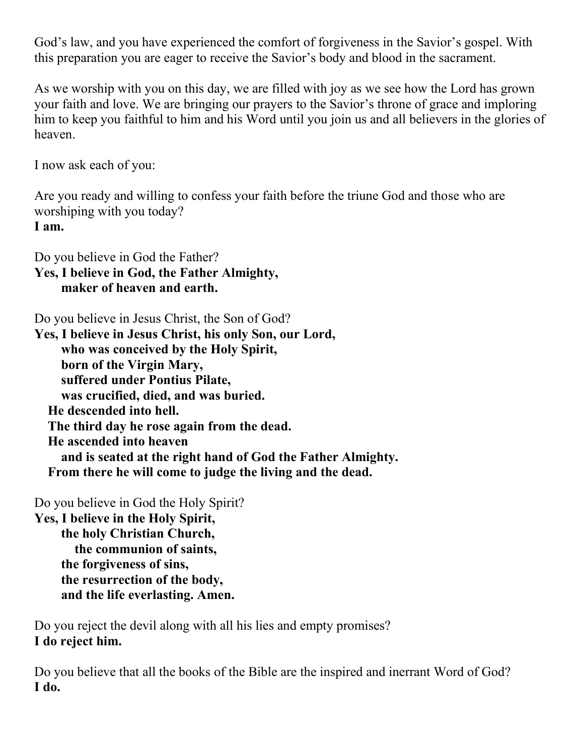God's law, and you have experienced the comfort of forgiveness in the Savior's gospel. With this preparation you are eager to receive the Savior's body and blood in the sacrament.

As we worship with you on this day, we are filled with joy as we see how the Lord has grown your faith and love. We are bringing our prayers to the Savior's throne of grace and imploring him to keep you faithful to him and his Word until you join us and all believers in the glories of heaven.

I now ask each of you:

Are you ready and willing to confess your faith before the triune God and those who are worshiping with you today? **I am.**

Do you believe in God the Father? **Yes, I believe in God, the Father Almighty, maker of heaven and earth.**

Do you believe in Jesus Christ, the Son of God?

**Yes, I believe in Jesus Christ, his only Son, our Lord, who was conceived by the Holy Spirit, born of the Virgin Mary, suffered under Pontius Pilate, was crucified, died, and was buried. He descended into hell. The third day he rose again from the dead. He ascended into heaven and is seated at the right hand of God the Father Almighty. From there he will come to judge the living and the dead.**

Do you believe in God the Holy Spirit?

**Yes, I believe in the Holy Spirit, the holy Christian Church, the communion of saints, the forgiveness of sins, the resurrection of the body, and the life everlasting. Amen.**

Do you reject the devil along with all his lies and empty promises? **I do reject him.**

Do you believe that all the books of the Bible are the inspired and inerrant Word of God? **I do.**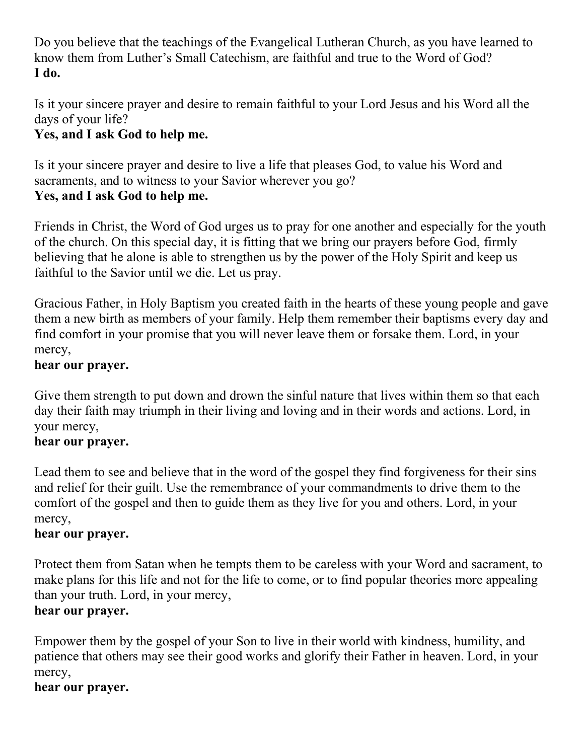Do you believe that the teachings of the Evangelical Lutheran Church, as you have learned to know them from Luther's Small Catechism, are faithful and true to the Word of God? **I do.**

Is it your sincere prayer and desire to remain faithful to your Lord Jesus and his Word all the days of your life?

# **Yes, and I ask God to help me.**

Is it your sincere prayer and desire to live a life that pleases God, to value his Word and sacraments, and to witness to your Savior wherever you go? **Yes, and I ask God to help me.**

Friends in Christ, the Word of God urges us to pray for one another and especially for the youth of the church. On this special day, it is fitting that we bring our prayers before God, firmly believing that he alone is able to strengthen us by the power of the Holy Spirit and keep us faithful to the Savior until we die. Let us pray.

Gracious Father, in Holy Baptism you created faith in the hearts of these young people and gave them a new birth as members of your family. Help them remember their baptisms every day and find comfort in your promise that you will never leave them or forsake them. Lord, in your mercy,

## **hear our prayer.**

Give them strength to put down and drown the sinful nature that lives within them so that each day their faith may triumph in their living and loving and in their words and actions. Lord, in your mercy,

## **hear our prayer.**

Lead them to see and believe that in the word of the gospel they find forgiveness for their sins and relief for their guilt. Use the remembrance of your commandments to drive them to the comfort of the gospel and then to guide them as they live for you and others. Lord, in your mercy,

## **hear our prayer.**

Protect them from Satan when he tempts them to be careless with your Word and sacrament, to make plans for this life and not for the life to come, or to find popular theories more appealing than your truth. Lord, in your mercy,

## **hear our prayer.**

Empower them by the gospel of your Son to live in their world with kindness, humility, and patience that others may see their good works and glorify their Father in heaven. Lord, in your mercy,

## **hear our prayer.**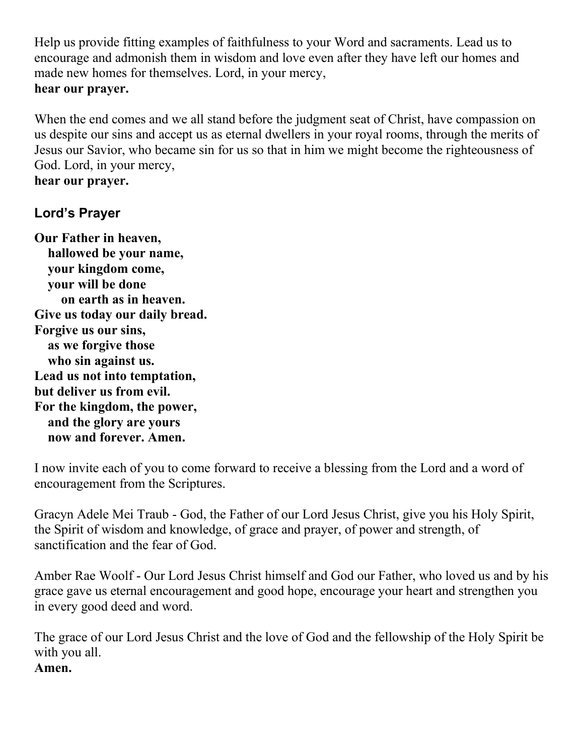Help us provide fitting examples of faithfulness to your Word and sacraments. Lead us to encourage and admonish them in wisdom and love even after they have left our homes and made new homes for themselves. Lord, in your mercy, **hear our prayer.**

When the end comes and we all stand before the judgment seat of Christ, have compassion on us despite our sins and accept us as eternal dwellers in your royal rooms, through the merits of Jesus our Savior, who became sin for us so that in him we might become the righteousness of God. Lord, in your mercy, **hear our prayer.**

#### **Lord's Prayer**

**Our Father in heaven, hallowed be your name, your kingdom come, your will be done on earth as in heaven. Give us today our daily bread. Forgive us our sins, as we forgive those who sin against us. Lead us not into temptation, but deliver us from evil. For the kingdom, the power, and the glory are yours now and forever. Amen.**

I now invite each of you to come forward to receive a blessing from the Lord and a word of encouragement from the Scriptures.

Gracyn Adele Mei Traub - God, the Father of our Lord Jesus Christ, give you his Holy Spirit, the Spirit of wisdom and knowledge, of grace and prayer, of power and strength, of sanctification and the fear of God.

Amber Rae Woolf - Our Lord Jesus Christ himself and God our Father, who loved us and by his grace gave us eternal encouragement and good hope, encourage your heart and strengthen you in every good deed and word.

The grace of our Lord Jesus Christ and the love of God and the fellowship of the Holy Spirit be with you all. **Amen.**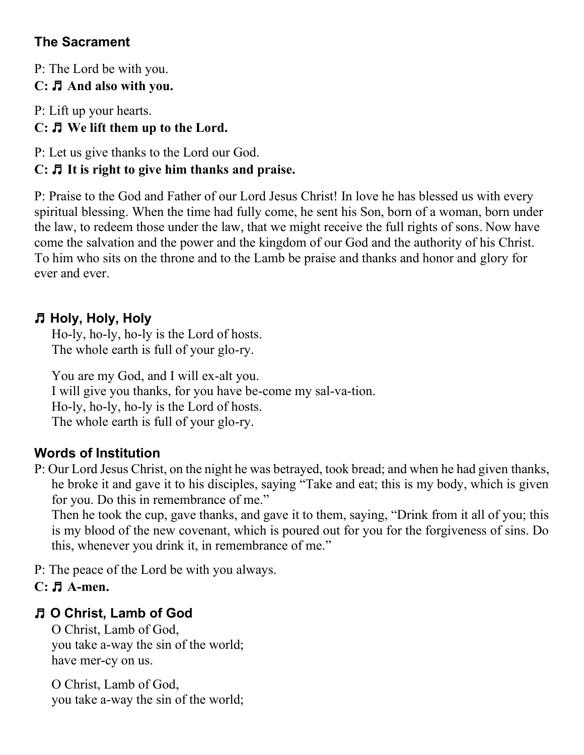# **The Sacrament**

P: The Lord be with you. **C:** ♬ **And also with you.**

P: Lift up your hearts.

# **C:** ♬ **We lift them up to the Lord.**

P: Let us give thanks to the Lord our God.

# **C:** ♬ **It is right to give him thanks and praise.**

P: Praise to the God and Father of our Lord Jesus Christ! In love he has blessed us with every spiritual blessing. When the time had fully come, he sent his Son, born of a woman, born under the law, to redeem those under the law, that we might receive the full rights of sons. Now have come the salvation and the power and the kingdom of our God and the authority of his Christ. To him who sits on the throne and to the Lamb be praise and thanks and honor and glory for ever and ever.

# ♬ **Holy, Holy, Holy**

Ho-ly, ho-ly, ho-ly is the Lord of hosts. The whole earth is full of your glo-ry.

You are my God, and I will ex-alt you. I will give you thanks, for you have be-come my sal-va-tion. Ho-ly, ho-ly, ho-ly is the Lord of hosts. The whole earth is full of your glo-ry.

# **Words of Institution**

P: Our Lord Jesus Christ, on the night he was betrayed, took bread; and when he had given thanks, he broke it and gave it to his disciples, saying "Take and eat; this is my body, which is given for you. Do this in remembrance of me."

Then he took the cup, gave thanks, and gave it to them, saying, "Drink from it all of you; this is my blood of the new covenant, which is poured out for you for the forgiveness of sins. Do this, whenever you drink it, in remembrance of me."

P: The peace of the Lord be with you always.

## **C:** ♬ **A-men.**

# ♬ **O Christ, Lamb of God**

O Christ, Lamb of God, you take a-way the sin of the world; have mer-cy on us.

O Christ, Lamb of God, you take a-way the sin of the world;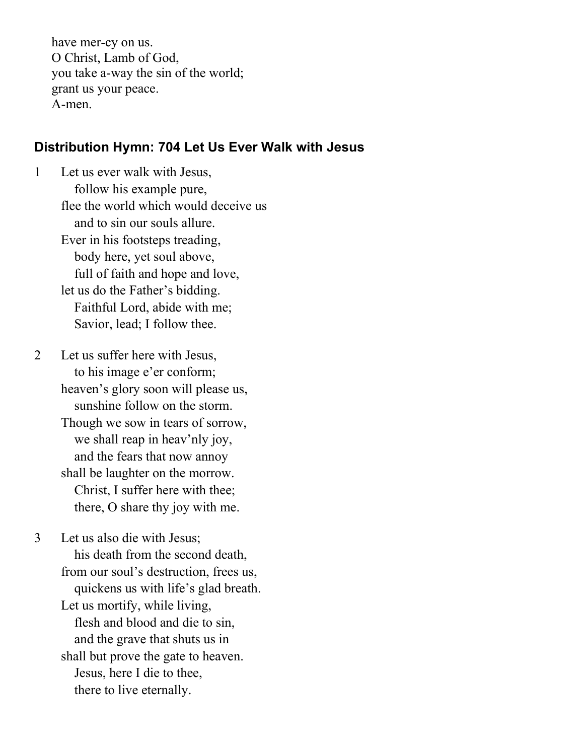have mer-cy on us. O Christ, Lamb of God, you take a-way the sin of the world; grant us your peace. A-men.

#### **Distribution Hymn: 704 Let Us Ever Walk with Jesus**

1 Let us ever walk with Jesus, follow his example pure, flee the world which would deceive us and to sin our souls allure. Ever in his footsteps treading, body here, yet soul above, full of faith and hope and love, let us do the Father's bidding. Faithful Lord, abide with me; Savior, lead; I follow thee.

2 Let us suffer here with Jesus, to his image e'er conform; heaven's glory soon will please us, sunshine follow on the storm. Though we sow in tears of sorrow, we shall reap in heav'nly joy, and the fears that now annoy shall be laughter on the morrow. Christ, I suffer here with thee; there, O share thy joy with me.

3 Let us also die with Jesus; his death from the second death, from our soul's destruction, frees us, quickens us with life's glad breath. Let us mortify, while living, flesh and blood and die to sin, and the grave that shuts us in shall but prove the gate to heaven. Jesus, here I die to thee, there to live eternally.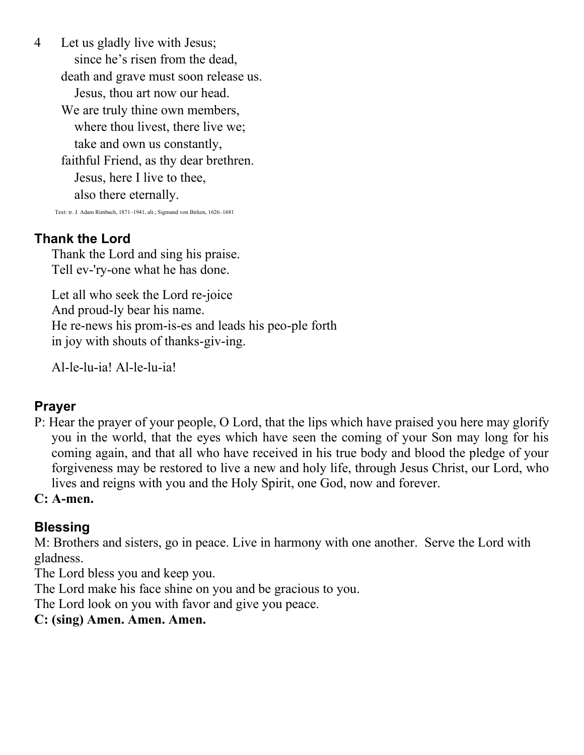4 Let us gladly live with Jesus; since he's risen from the dead, death and grave must soon release us. Jesus, thou art now our head. We are truly thine own members, where thou livest, there live we; take and own us constantly, faithful Friend, as thy dear brethren. Jesus, here I live to thee, also there eternally.

Text: tr. J. Adam Rimbach, 1871–1941, alt.; Sigmund von Birken, 1626–1681

#### **Thank the Lord**

Thank the Lord and sing his praise. Tell ev-'ry-one what he has done.

Let all who seek the Lord re-joice And proud-ly bear his name. He re-news his prom-is-es and leads his peo-ple forth in joy with shouts of thanks-giv-ing.

Al-le-lu-ia! Al-le-lu-ia!

#### **Prayer**

P: Hear the prayer of your people, O Lord, that the lips which have praised you here may glorify you in the world, that the eyes which have seen the coming of your Son may long for his coming again, and that all who have received in his true body and blood the pledge of your forgiveness may be restored to live a new and holy life, through Jesus Christ, our Lord, who lives and reigns with you and the Holy Spirit, one God, now and forever.

#### **C: A-men.**

#### **Blessing**

M: Brothers and sisters, go in peace. Live in harmony with one another. Serve the Lord with gladness.

The Lord bless you and keep you.

The Lord make his face shine on you and be gracious to you.

The Lord look on you with favor and give you peace.

#### **C: (sing) Amen. Amen. Amen.**